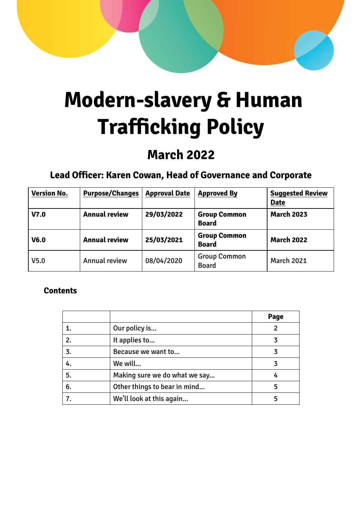# **Modern-slavery & Human Trafficking Policy**

# **March 2022**

# **Lead Officer: Karen Cowan, Head of Governance and Corporate**

| <b>Version No.</b> | <b>Purpose/Changes</b> | <b>Approval Date</b> | <b>Approved By</b>                  | <b>Suggested Review</b><br><b>Date</b> |
|--------------------|------------------------|----------------------|-------------------------------------|----------------------------------------|
| V7.0               | <b>Annual review</b>   | 29/03/2022           | <b>Group Common</b><br><b>Board</b> | <b>March 2023</b>                      |
| V <sub>6.0</sub>   | <b>Annual review</b>   | 25/03/2021           | <b>Group Common</b><br><b>Board</b> | <b>March 2022</b>                      |
| V <sub>5.0</sub>   | Annual review          | 08/04/2020           | <b>Group Common</b><br><b>Board</b> | <b>March 2021</b>                      |

#### **Contents**

|                  |                               | Page |
|------------------|-------------------------------|------|
|                  | Our policy is                 |      |
| 2.               | It applies to                 |      |
| $\overline{3}$ . | Because we want to            |      |
| 4.               | We will                       |      |
| 5.               | Making sure we do what we say |      |
| 6.               | Other things to bear in mind  | 5    |
|                  | We'll look at this again      |      |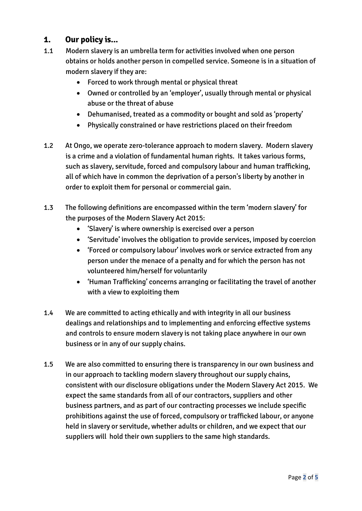#### **1. Our policy is...**

- 1.1 Modern slavery is an umbrella term for activities involved when one person obtains or holds another person in compelled service. Someone is in a situation of modern slavery if they are:
	- Forced to work through mental or physical threat
	- Owned or controlled by an 'employer', usually through mental or physical abuse or the threat of abuse
	- Dehumanised, treated as a commodity or bought and sold as 'property'
	- Physically constrained or have restrictions placed on their freedom
- 1.2 At Ongo, we operate zero-tolerance approach to modern slavery. Modern slavery is a crime and a violation of fundamental human rights. It takes various forms, such as slavery, servitude, forced and compulsory labour and human trafficking, all of which have in common the deprivation of a person's liberty by another in order to exploit them for personal or commercial gain.
- 1.3 The following definitions are encompassed within the term 'modern slavery' for the purposes of the Modern Slavery Act 2015:
	- 'Slavery' is where ownership is exercised over a person
	- 'Servitude' involves the obligation to provide services, imposed by coercion
	- 'Forced or compulsory labour' involves work or service extracted from any person under the menace of a penalty and for which the person has not volunteered him/herself for voluntarily
	- 'Human Trafficking' concerns arranging or facilitating the travel of another with a view to exploiting them
- 1.4 We are committed to acting ethically and with integrity in all our business dealings and relationships and to implementing and enforcing effective systems and controls to ensure modern slavery is not taking place anywhere in our own business or in any of our supply chains.
- 1.5 We are also committed to ensuring there is transparency in our own business and in our approach to tackling modern slavery throughout our supply chains, consistent with our disclosure obligations under the Modern Slavery Act 2015. We expect the same standards from all of our contractors, suppliers and other business partners, and as part of our contracting processes we include specific prohibitions against the use of forced, compulsory or trafficked labour, or anyone held in slavery or servitude, whether adults or children, and we expect that our suppliers will hold their own suppliers to the same high standards.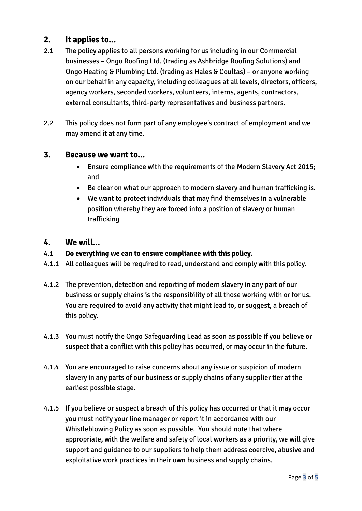## **2. It applies to...**

- 2.1 The policy applies to all persons working for us including in our Commercial businesses – Ongo Roofing Ltd. (trading as Ashbridge Roofing Solutions) and Ongo Heating & Plumbing Ltd. (trading as Hales & Coultas) – or anyone working on our behalf in any capacity, including colleagues at all levels, directors, officers, agency workers, seconded workers, volunteers, interns, agents, contractors, external consultants, third-party representatives and business partners.
- 2.2 This policy does not form part of any employee's contract of employment and we may amend it at any time.

#### **3. Because we want to...**

- Ensure compliance with the requirements of the Modern Slavery Act 2015; and
- Be clear on what our approach to modern slavery and human trafficking is.
- We want to protect individuals that may find themselves in a vulnerable position whereby they are forced into a position of slavery or human trafficking

#### **4. We will...**

- 4.1 **Do everything we can to ensure compliance with this policy.**
- 4.1.1 All colleagues will be required to read, understand and comply with this policy.
- 4.1.2 The prevention, detection and reporting of modern slavery in any part of our business or supply chains is the responsibility of all those working with or for us. You are required to avoid any activity that might lead to, or suggest, a breach of this policy.
- 4.1.3 You must notify the Ongo Safeguarding Lead as soon as possible if you believe or suspect that a conflict with this policy has occurred, or may occur in the future.
- 4.1.4 You are encouraged to raise concerns about any issue or suspicion of modern slavery in any parts of our business or supply chains of any supplier tier at the earliest possible stage.
- 4.1.5 If you believe or suspect a breach of this policy has occurred or that it may occur you must notify your line manager or report it in accordance with our Whistleblowing Policy as soon as possible. You should note that where appropriate, with the welfare and safety of local workers as a priority, we will give support and guidance to our suppliers to help them address coercive, abusive and exploitative work practices in their own business and supply chains.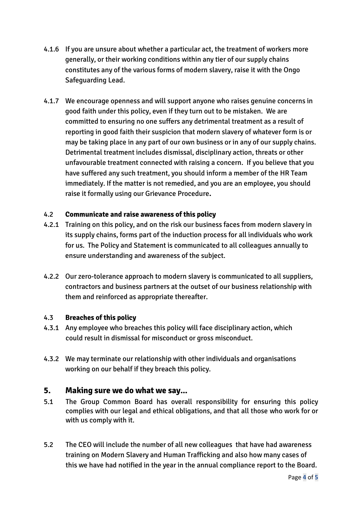- 4.1.6 If you are unsure about whether a particular act, the treatment of workers more generally, or their working conditions within any tier of our supply chains constitutes any of the various forms of modern slavery, raise it with the Ongo Safeguarding Lead.
- 4.1.7 We encourage openness and will support anyone who raises genuine concerns in good faith under this policy, even if they turn out to be mistaken. We are committed to ensuring no one suffers any detrimental treatment as a result of reporting in good faith their suspicion that modern slavery of whatever form is or may be taking place in any part of our own business or in any of our supply chains. Detrimental treatment includes dismissal, disciplinary action, threats or other unfavourable treatment connected with raising a concern. If you believe that you have suffered any such treatment, you should inform a member of the HR Team immediately. If the matter is not remedied, and you are an employee, you should raise it formally using our Grievance Procedure**.**

#### 4.2 **Communicate and raise awareness of this policy**

- 4.2.1 Training on this policy, and on the risk our business faces from modern slavery in its supply chains, forms part of the induction process for all individuals who work for us. The Policy and Statement is communicated to all colleagues annually to ensure understanding and awareness of the subject.
- 4.2.2 Our zero-tolerance approach to modern slavery is communicated to all suppliers, contractors and business partners at the outset of our business relationship with them and reinforced as appropriate thereafter.

#### 4.3 **Breaches of this policy**

- 4.3.1 Any employee who breaches this policy will face disciplinary action, which could result in dismissal for misconduct or gross misconduct.
- 4.3.2 We may terminate our relationship with other individuals and organisations working on our behalf if they breach this policy.

#### **5. Making sure we do what we say...**

- 5.1 The Group Common Board has overall responsibility for ensuring this policy complies with our legal and ethical obligations, and that all those who work for or with us comply with it.
- 5.2 The CEO will include the number of all new colleagues that have had awareness training on Modern Slavery and Human Trafficking and also how many cases of this we have had notified in the year in the annual compliance report to the Board.